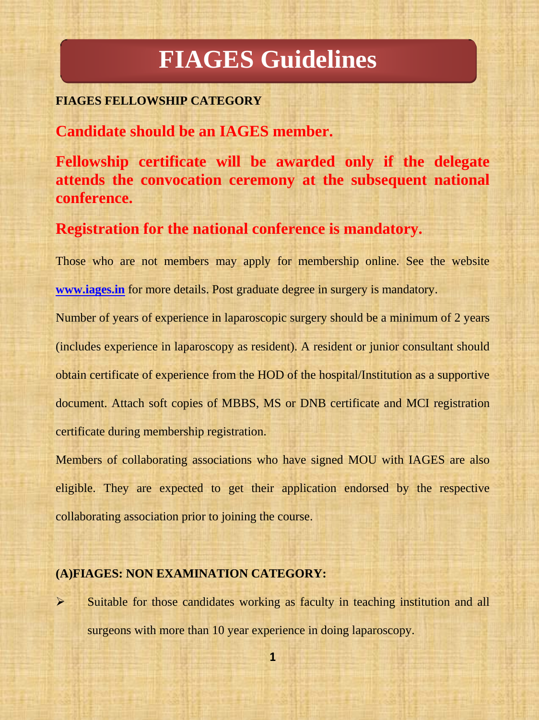# **FIAGES Guidelines**

#### **FIAGES FELLOWSHIP CATEGORY**

**Candidate should be an IAGES member.**

**Fellowship certificate will be awarded only if the delegate attends the convocation ceremony at the subsequent national conference.**

**Registration for the national conference is mandatory.**

Those who are not members may apply for membership online. See the website **[www.iages.in](http://www.iages.in/)** for more details. Post graduate degree in surgery is mandatory.

Number of years of experience in laparoscopic surgery should be a minimum of 2 years (includes experience in laparoscopy as resident). A resident or junior consultant should obtain certificate of experience from the HOD of the hospital/Institution as a supportive document. Attach soft copies of MBBS, MS or DNB certificate and MCI registration certificate during membership registration.

Members of collaborating associations who have signed MOU with IAGES are also eligible. They are expected to get their application endorsed by the respective collaborating association prior to joining the course.

#### **(A)FIAGES: NON EXAMINATION CATEGORY:**

 $\triangleright$  Suitable for those candidates working as faculty in teaching institution and all surgeons with more than 10 year experience in doing laparoscopy.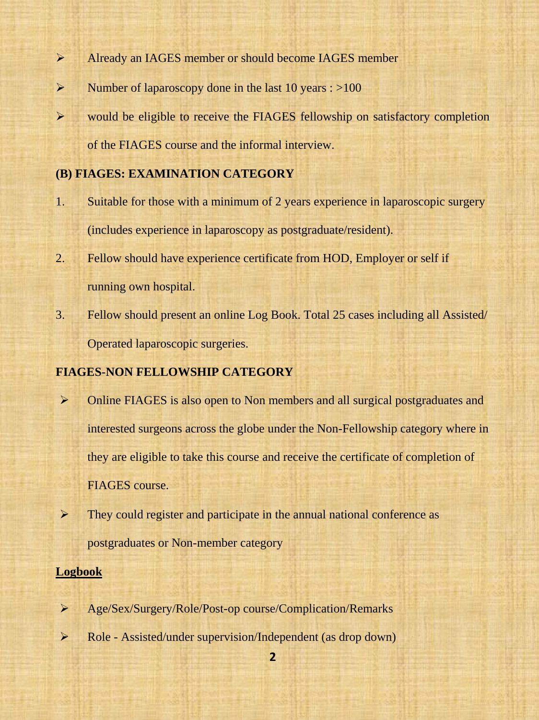- Already an IAGES member or should become IAGES member
- $\triangleright$  Number of laparoscopy done in the last 10 years : >100
- would be eligible to receive the FIAGES fellowship on satisfactory completion of the FIAGES course and the informal interview.

#### **(B) FIAGES: EXAMINATION CATEGORY**

- 1. Suitable for those with a minimum of 2 years experience in laparoscopic surgery (includes experience in laparoscopy as postgraduate/resident).
- 2. Fellow should have experience certificate from HOD, Employer or self if running own hospital.
- 3. Fellow should present an online Log Book. Total 25 cases including all Assisted/ Operated laparoscopic surgeries.

### **FIAGES-NON FELLOWSHIP CATEGORY**

- Online FIAGES is also open to Non members and all surgical postgraduates and interested surgeons across the globe under the Non-Fellowship category where in they are eligible to take this course and receive the certificate of completion of FIAGES course.
- $\triangleright$  They could register and participate in the annual national conference as postgraduates or Non-member category

#### **Logbook**

- Age/Sex/Surgery/Role/Post-op course/Complication/Remarks
- Role Assisted/under supervision/Independent (as drop down)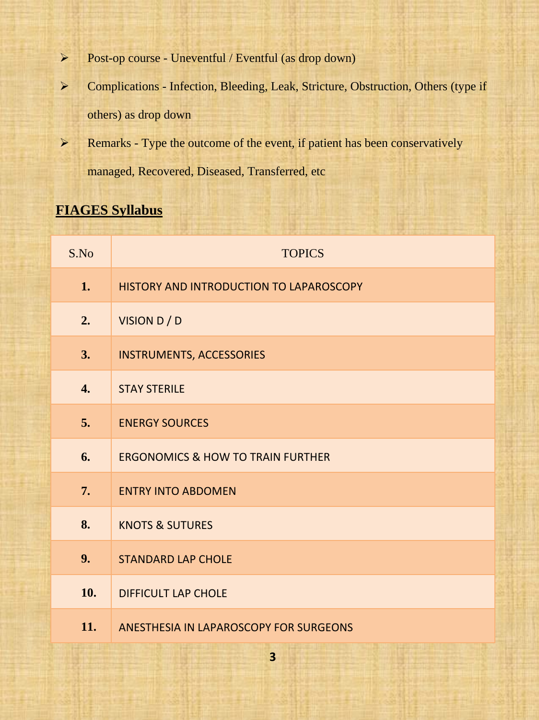- Post-op course Uneventful / Eventful (as drop down)
- Complications Infection, Bleeding, Leak, Stricture, Obstruction, Others (type if others) as drop down
- $\triangleright$  Remarks Type the outcome of the event, if patient has been conservatively managed, Recovered, Diseased, Transferred, etc

## **FIAGES Syllabus**

| S.No             | <b>TOPICS</b>                                |
|------------------|----------------------------------------------|
| 1.               | HISTORY AND INTRODUCTION TO LAPAROSCOPY      |
| 2.               | VISION D / D                                 |
| 3.               | <b>INSTRUMENTS, ACCESSORIES</b>              |
| $\overline{4}$ . | <b>STAY STERILE</b>                          |
| 5.               | <b>ENERGY SOURCES</b>                        |
| 6.               | <b>ERGONOMICS &amp; HOW TO TRAIN FURTHER</b> |
| 7.               | <b>ENTRY INTO ABDOMEN</b>                    |
| 8.               | <b>KNOTS &amp; SUTURES</b>                   |
| 9.               | <b>STANDARD LAP CHOLE</b>                    |
| 10.              | <b>DIFFICULT LAP CHOLE</b>                   |
| 11.              | ANESTHESIA IN LAPAROSCOPY FOR SURGEONS       |

**3**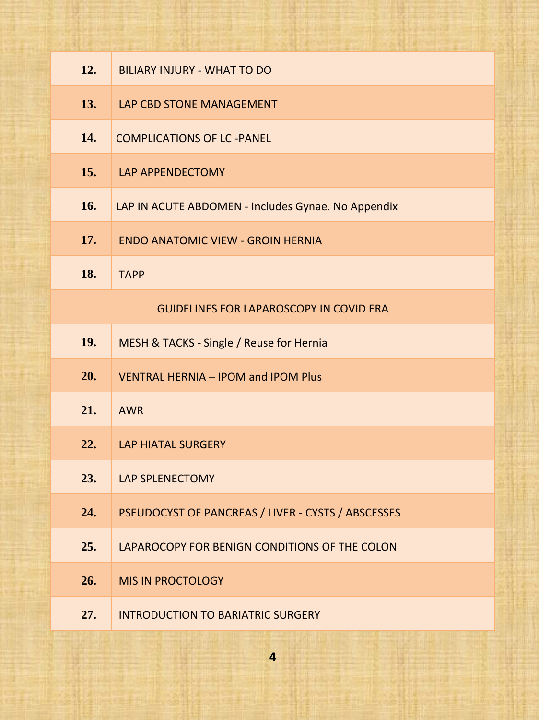| 12. | <b>BILIARY INJURY - WHAT TO DO</b>                 |
|-----|----------------------------------------------------|
| 13. | LAP CBD STONE MANAGEMENT                           |
| 14. | <b>COMPLICATIONS OF LC -PANEL</b>                  |
| 15. | LAP APPENDECTOMY                                   |
| 16. | LAP IN ACUTE ABDOMEN - Includes Gynae. No Appendix |
| 17. | <b>ENDO ANATOMIC VIEW - GROIN HERNIA</b>           |
| 18. | <b>TAPP</b>                                        |
|     | <b>GUIDELINES FOR LAPAROSCOPY IN COVID ERA</b>     |
| 19. | MESH & TACKS - Single / Reuse for Hernia           |
| 20. | <b>VENTRAL HERNIA - IPOM and IPOM Plus</b>         |
| 21. | <b>AWR</b>                                         |
| 22. | <b>LAP HIATAL SURGERY</b>                          |
| 23. | <b>LAP SPLENECTOMY</b>                             |
| 24. | PSEUDOCYST OF PANCREAS / LIVER - CYSTS / ABSCESSES |
| 25. | LAPAROCOPY FOR BENIGN CONDITIONS OF THE COLON      |
| 26. | <b>MIS IN PROCTOLOGY</b>                           |
| 27. | <b>INTRODUCTION TO BARIATRIC SURGERY</b>           |

**4**